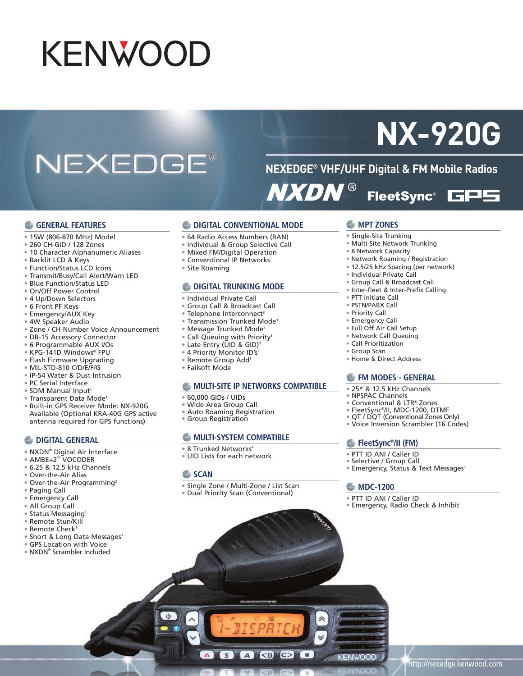# KENWOOD

## NEXEDGE®

## **NX-920G**

**NEXEDGE® VHF/UHF Digital & FM Mobile Radios NXDN® FleetSync®** ces

#### **GENERAL FEATURES**

- 15W (806-870 MHz) Model
- 260 CH-GID / 128 Zones
- 10 Character Alphanumeric Aliases
- Backlit LCD & Keys
- Function/Status LCD Icons
- Transmit/Busy/Call Alert/Warn LED
- Blue Function/Status LED
- On/Off Power Control
- 4 Up/Down Selectors
- 6 Front PF Keys
- Emergency/AUX Key
- 4W Speaker Audio
- Zone / CH Number Voice Announcement
- DB-15 Accessory Connector
- 6 Programmable AUX I/Os
- KPG-141D Windows® FPU
- Flash Firmware Upgrading
- MIL-STD-810 C/D/E/F/G
- IP-54 Water & Dust Intrusion
- PC Serial Interface
- SDM Manual Input<sup>1</sup>
- Transparent Data Mode<sup>1</sup>
- Built-in GPS Receiver Mode: NX-920G Available (Optional KRA-40G GPS active antenna required for GPS functions)

#### **C** DIGITAL GENERAL

- NXDN® Digital Air Interface
- AMBE+2™ VOCODER
- 6.25 & 12.5 kHz Channels
- Over-the-Air Alias
- Over-the-Air Programming<sup>2</sup>
- Paging Call
- **Emergency Call**
- All Group Call
- Status Messaging<sup>1</sup>
- Remote Stun/Kill 1
- Remote Check<sup>1</sup>
- Short & Long Data Messages<sup>1</sup>
- GPS Location with Voice<sup>1</sup>
- NXDN® Scrambler Included
- **DIGITAL CONVENTIONAL MODE**
- 64 Radio Access Numbers (RAN)
- Individual & Group Selective Call
- Mixed FM/Digital Operation
- Conventional IP Networks
- Site Roaming

#### **DIGITAL TRUNKING MODE**

- Individual Private Call
- Group Call & Broadcast Call
- Telephone Interconnect<sup>3</sup>
- Transmission Trunked Mode3
- Message Trunked Mode3
- Call Queuing with Priority<sup>3</sup>
- Late Entry (UID & GID) 3
- 4 Priority Monitor ID's<sup>3</sup>
- Remote Group Add1
- Failsoft Mode

#### **MULTI-SITE IP NETWORKS COMPATIBLE**

- 60,000 GIDs / UIDs
- Wide Area Group Call
- Auto Roaming Registration
- Group Registration

#### **MULTI-SYSTEM COMPATIBLE**

- 8 Trunked Networks<sup>4</sup>
- UID Lists for each network

#### **SCAN**

- Single Zone / Multi-Zone / List Scan
- Dual Priority Scan (Conventional)

 $S$ 

ABOD

#### **MPT ZONES**

- Single-Site Trunking
- Multi-Site Network Trunking
- 8 Network Capacity
- Network Roaming / Registration
- 12.5/25 kHz Spacing (per network)
- Individual Private Call
- Group Call & Broadcast Call
- Inter-fleet & Inter-Prefix Calling
- PTT Initiate Call
- PSTN/PABX Call
- Priority Call
- Emergency Call
- Full Off Air Call Setup
- Network Call Queuing
- Call Prioritization
- Group Scan
- Home & Direct Address

#### **FM MODES - GENERAL**

- 25\* & 12.5 kHz Channels
- NPSPAC Channels
- Conventional & LTR® Zones
- FleetSync®/II, MDC-1200, DTMF
- QT / DQT (Conventional Zones Only)
- Voice Inversion Scrambler (16 Codes)

#### **FleetSync®/II (FM)**

• PTT ID ANI / Caller ID

**MDC-1200** • PTT ID ANI / Caller ID

**KENWOOD** 

- Selective / Group Call
- Emergency, Status & Text Messages<sup>1</sup>

• Emergency, Radio Check & Inhibit

http://nexedge.kenwood.com